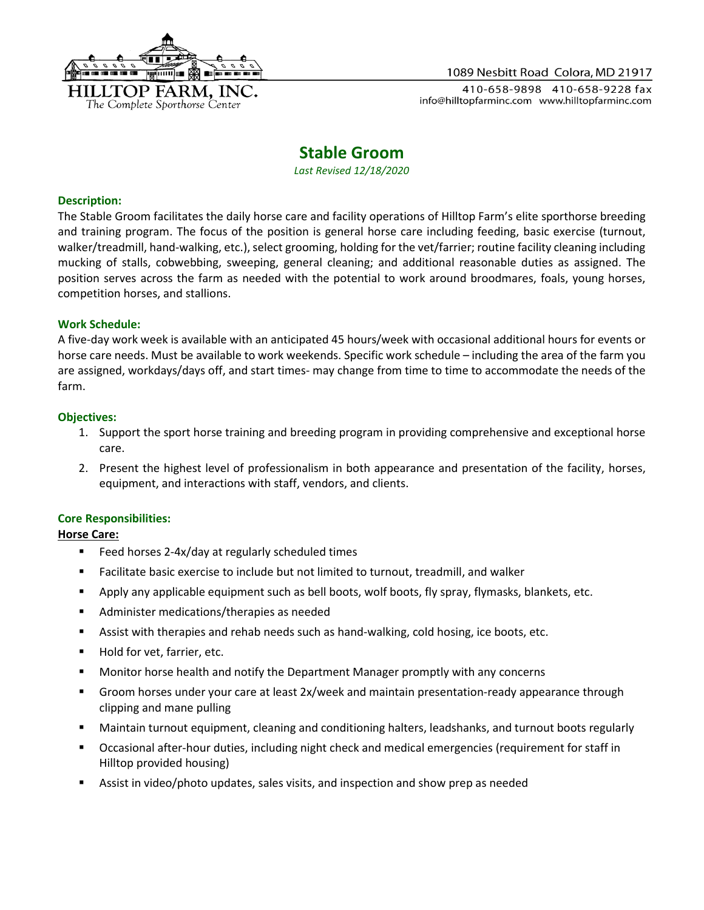

#### 1089 Nesbitt Road Colora, MD 21917

410-658-9898 410-658-9228 fax info@hilltopfarminc.com www.hilltopfarminc.com

# **Stable Groom**

*Last Revised 12/18/2020*

#### **Description:**

The Stable Groom facilitates the daily horse care and facility operations of Hilltop Farm's elite sporthorse breeding and training program. The focus of the position is general horse care including feeding, basic exercise (turnout, walker/treadmill, hand-walking, etc.), select grooming, holding for the vet/farrier; routine facility cleaning including mucking of stalls, cobwebbing, sweeping, general cleaning; and additional reasonable duties as assigned. The position serves across the farm as needed with the potential to work around broodmares, foals, young horses, competition horses, and stallions.

#### **Work Schedule:**

A five-day work week is available with an anticipated 45 hours/week with occasional additional hours for events or horse care needs. Must be available to work weekends. Specific work schedule – including the area of the farm you are assigned, workdays/days off, and start times- may change from time to time to accommodate the needs of the farm.

#### **Objectives:**

- 1. Support the sport horse training and breeding program in providing comprehensive and exceptional horse care.
- 2. Present the highest level of professionalism in both appearance and presentation of the facility, horses, equipment, and interactions with staff, vendors, and clients.

## **Core Responsibilities:**

## **Horse Care:**

- Feed horses 2-4x/day at regularly scheduled times
- Facilitate basic exercise to include but not limited to turnout, treadmill, and walker
- Apply any applicable equipment such as bell boots, wolf boots, fly spray, flymasks, blankets, etc.
- Administer medications/therapies as needed
- Assist with therapies and rehab needs such as hand-walking, cold hosing, ice boots, etc.
- Hold for vet, farrier, etc.
- Monitor horse health and notify the Department Manager promptly with any concerns
- Groom horses under your care at least 2x/week and maintain presentation-ready appearance through clipping and mane pulling
- Maintain turnout equipment, cleaning and conditioning halters, leadshanks, and turnout boots regularly
- Occasional after-hour duties, including night check and medical emergencies (requirement for staff in Hilltop provided housing)
- Assist in video/photo updates, sales visits, and inspection and show prep as needed